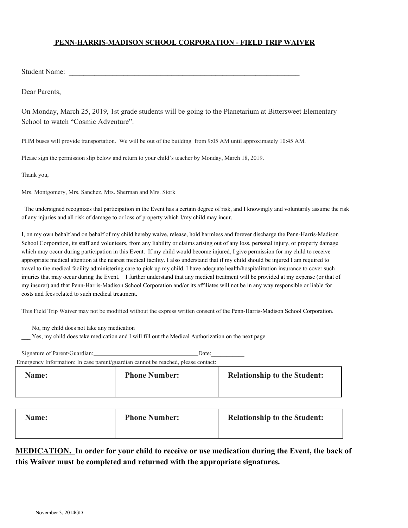## **PENN-HARRIS-MADISON SCHOOL CORPORATION - FIELD TRIP WAIVER**

Student Name:

Dear Parents,

On Monday, March 25, 2019, 1st grade students will be going to the Planetarium at Bittersweet Elementary School to watch "Cosmic Adventure".

PHM buses will provide transportation. We will be out of the building from 9:05 AM until approximately 10:45 AM.

Please sign the permission slip below and return to your child's teacher by Monday, March 18, 2019.

Thank you,

Mrs. Montgomery, Mrs. Sanchez, Mrs. Sherman and Mrs. Stork

 The undersigned recognizes that participation in the Event has a certain degree of risk, and I knowingly and voluntarily assume the risk of any injuries and all risk of damage to or loss of property which I/my child may incur.

I, on my own behalf and on behalf of my child hereby waive, release, hold harmless and forever discharge the Penn-Harris-Madison School Corporation, its staff and volunteers, from any liability or claims arising out of any loss, personal injury, or property damage which may occur during participation in this Event. If my child would become injured, I give permission for my child to receive appropriate medical attention at the nearest medical facility. I also understand that if my child should be injured I am required to travel to the medical facility administering care to pick up my child. I have adequate health/hospitalization insurance to cover such injuries that may occur during the Event. I further understand that any medical treatment will be provided at my expense (or that of my insurer) and that Penn-Harris-Madison School Corporation and/or its affiliates will not be in any way responsible or liable for costs and fees related to such medical treatment.

This Field Trip Waiver may not be modified without the express written consent of the Penn-Harris-Madison School Corporation.

- \_\_\_ No, my child does not take any medication
- Yes, my child does take medication and I will fill out the Medical Authorization on the next page

| Signature of Parent/Guardian: | Date:                                                                             |                                     |
|-------------------------------|-----------------------------------------------------------------------------------|-------------------------------------|
|                               | Emergency Information: In case parent/guardian cannot be reached, please contact: |                                     |
| Name:                         | <b>Phone Number:</b>                                                              | <b>Relationship to the Student:</b> |

| <b>Name:</b> | <b>Phone Number:</b> | <b>Relationship to the Student:</b> |
|--------------|----------------------|-------------------------------------|
|--------------|----------------------|-------------------------------------|

## **MEDICATION. In order for your child to receive or use medication during the Event, the back of this Waiver must be completed and returned with the appropriate signatures.**